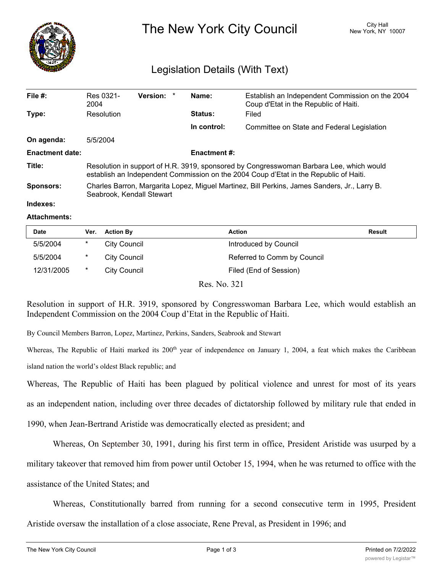

The New York City Council New York, NY 10007

## Legislation Details (With Text)

| File $#$ :             | Res 0321-<br>2004                                                                                                                                                                | Version: * |  | Name:       | Establish an Independent Commission on the 2004<br>Coup d'Etat in the Republic of Haiti. |  |  |
|------------------------|----------------------------------------------------------------------------------------------------------------------------------------------------------------------------------|------------|--|-------------|------------------------------------------------------------------------------------------|--|--|
| Type:                  | Resolution                                                                                                                                                                       |            |  | Status:     | Filed                                                                                    |  |  |
|                        |                                                                                                                                                                                  |            |  | In control: | Committee on State and Federal Legislation                                               |  |  |
| On agenda:             | 5/5/2004                                                                                                                                                                         |            |  |             |                                                                                          |  |  |
| <b>Enactment date:</b> | <b>Enactment #:</b>                                                                                                                                                              |            |  |             |                                                                                          |  |  |
| Title:                 | Resolution in support of H.R. 3919, sponsored by Congresswoman Barbara Lee, which would<br>establish an Independent Commission on the 2004 Coup d'Etat in the Republic of Haiti. |            |  |             |                                                                                          |  |  |
| <b>Sponsors:</b>       | Charles Barron, Margarita Lopez, Miguel Martinez, Bill Perkins, James Sanders, Jr., Larry B.<br>Seabrook, Kendall Stewart                                                        |            |  |             |                                                                                          |  |  |
| Indexes:               |                                                                                                                                                                                  |            |  |             |                                                                                          |  |  |

## **Attachments:**

| <b>Date</b> | Ver.   | <b>Action By</b>    | Action                      | Result |
|-------------|--------|---------------------|-----------------------------|--------|
| 5/5/2004    | *      | <b>City Council</b> | Introduced by Council       |        |
| 5/5/2004    | $\ast$ | City Council        | Referred to Comm by Council |        |
| 12/31/2005  | $\ast$ | <b>City Council</b> | Filed (End of Session)      |        |
|             |        |                     |                             |        |

Res. No. 321

Resolution in support of H.R. 3919, sponsored by Congresswoman Barbara Lee, which would establish an Independent Commission on the 2004 Coup d'Etat in the Republic of Haiti.

By Council Members Barron, Lopez, Martinez, Perkins, Sanders, Seabrook and Stewart

Whereas, The Republic of Haiti marked its 200<sup>th</sup> year of independence on January 1, 2004, a feat which makes the Caribbean island nation the world's oldest Black republic; and

Whereas, The Republic of Haiti has been plagued by political violence and unrest for most of its years

as an independent nation, including over three decades of dictatorship followed by military rule that ended in

1990, when Jean-Bertrand Aristide was democratically elected as president; and

Whereas, On September 30, 1991, during his first term in office, President Aristide was usurped by a

military takeover that removed him from power until October 15, 1994, when he was returned to office with the

assistance of the United States; and

Whereas, Constitutionally barred from running for a second consecutive term in 1995, President

Aristide oversaw the installation of a close associate, Rene Preval, as President in 1996; and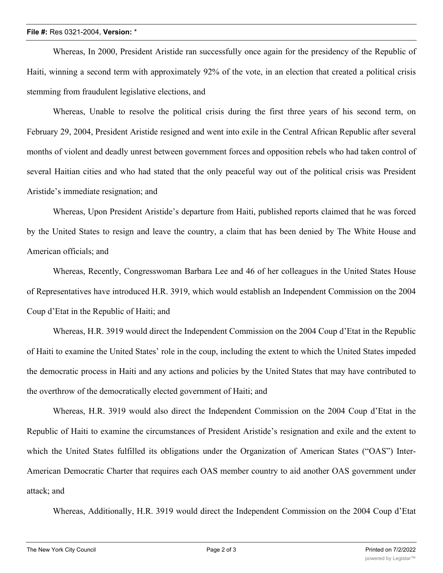## **File #:** Res 0321-2004, **Version:** \*

Whereas, In 2000, President Aristide ran successfully once again for the presidency of the Republic of Haiti, winning a second term with approximately 92% of the vote, in an election that created a political crisis stemming from fraudulent legislative elections, and

Whereas, Unable to resolve the political crisis during the first three years of his second term, on February 29, 2004, President Aristide resigned and went into exile in the Central African Republic after several months of violent and deadly unrest between government forces and opposition rebels who had taken control of several Haitian cities and who had stated that the only peaceful way out of the political crisis was President Aristide's immediate resignation; and

Whereas, Upon President Aristide's departure from Haiti, published reports claimed that he was forced by the United States to resign and leave the country, a claim that has been denied by The White House and American officials; and

Whereas, Recently, Congresswoman Barbara Lee and 46 of her colleagues in the United States House of Representatives have introduced H.R. 3919, which would establish an Independent Commission on the 2004 Coup d'Etat in the Republic of Haiti; and

Whereas, H.R. 3919 would direct the Independent Commission on the 2004 Coup d'Etat in the Republic of Haiti to examine the United States' role in the coup, including the extent to which the United States impeded the democratic process in Haiti and any actions and policies by the United States that may have contributed to the overthrow of the democratically elected government of Haiti; and

Whereas, H.R. 3919 would also direct the Independent Commission on the 2004 Coup d'Etat in the Republic of Haiti to examine the circumstances of President Aristide's resignation and exile and the extent to which the United States fulfilled its obligations under the Organization of American States ("OAS") Inter-American Democratic Charter that requires each OAS member country to aid another OAS government under attack; and

Whereas, Additionally, H.R. 3919 would direct the Independent Commission on the 2004 Coup d'Etat